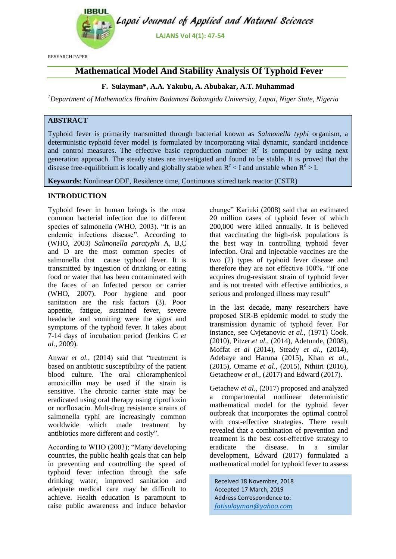

RESEARCH PAPER

# **Mathematical Model And Stability Analysis Of Typhoid Fever**

## **F. Sulayman\*, A.A. Yakubu, A. Abubakar, A.T. Muhammad**

*<sup>1</sup>Department of Mathematics Ibrahim Badamasi Babangida University, Lapai, Niger State, Nigeria*

# **ABSTRACT**

Typhoid fever is primarily transmitted through bacterial known as *Salmonella typhi* organism, a deterministic typhoid fever model is formulated by incorporating vital dynamic, standard incidence and control measures. The effective basic reproduction number  $R<sup>c</sup>$  is computed by using next generation approach. The steady states are investigated and found to be stable. It is proved that the disease free-equilibrium is locally and globally stable when  $R^c < I$  and unstable when  $R^c > I$ .

**Keywords**: Nonlinear ODE, Residence time, Continuous stirred tank reactor (CSTR)

## **INTRODUCTION**

Typhoid fever in human beings is the most common bacterial infection due to different species of salmonella (WHO, 2003). "It is an endemic infections disease". According to (WHO, 2003) *Salmonella paratyphi* A, B,C and D are the most common species of salmonella that cause typhoid fever. It is transmitted by ingestion of drinking or eating food or water that has been contaminated with the faces of an Infected person or carrier (WHO, 2007). Poor hygiene and poor sanitation are the risk factors (3). Poor appetite, fatigue, sustained fever, severe headache and vomiting were the signs and symptoms of the typhoid fever. It takes about 7-14 days of incubation period (Jenkins C *et al.,* 2009).

Anwar *et al.*, (2014) said that "treatment is based on antibiotic susceptibility of the patient blood culture. The oral chloramphenicol amoxicillin may be used if the strain is sensitive. The chronic carrier state may be eradicated using oral therapy using ciprofloxin or norfloxacin. Mult-drug resistance strains of salmonella typhi are increasingly common worldwide which made treatment by antibiotics more different and costly".

According to WHO (2003); "Many developing countries, the public health goals that can help in preventing and controlling the speed of typhoid fever infection through the safe drinking water, improved sanitation and adequate medical care may be difficult to achieve. Health education is paramount to raise public awareness and induce behavior

change" Kariuki (2008) said that an estimated 20 million cases of typhoid fever of which 200,000 were killed annually. It is believed that vaccinating the high-risk populations is the best way in controlling typhoid fever infection. Oral and injectable vaccines are the two (2) types of typhoid fever disease and therefore they are not effective 100%. "If one acquires drug-resistant strain of typhoid fever and is not treated with effective antibiotics, a serious and prolonged illness may result"

In the last decade, many researchers have proposed SIR-B epidemic model to study the transmission dynamic of typhoid fever. For instance, see Cvjetanovic *et al.,* (1971) Cook. (2010), Pitzer.*et al.,* (2014), Adetunde, (2008), Moffat *et al* (2014), Steady *et al.,* (2014), Adebaye and Haruna (2015), Khan *et al.,* (2015), Omame *et al.,* (2015), Nthiiri (2016), Getacheow *et al.,* (2017) and Edward (2017).

Getachew *et al.,* (2017) proposed and analyzed a compartmental nonlinear deterministic mathematical model for the typhoid fever outbreak that incorporates the optimal control with cost-effective strategies. There result revealed that a combination of prevention and treatment is the best cost-effective strategy to eradicate the disease. In a similar development, Edward (2017) formulated a mathematical model for typhoid fever to assess

Received 18 November, 2018 Accepted 17 March, 2019 Address Correspondence to: *fatisulayman@yahoo.com*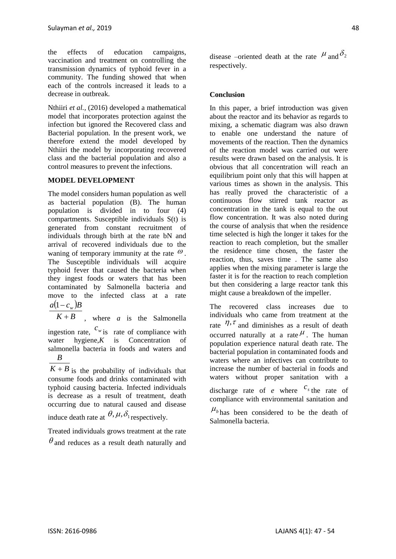the effects of education campaigns, vaccination and treatment on controlling the transmission dynamics of typhoid fever in a community. The funding showed that when each of the controls increased it leads to a decrease in outbreak.

Nthiiri *et al.,* (2016) developed a mathematical model that incorporates protection against the infection but ignored the Recovered class and Bacterial population. In the present work, we therefore extend the model developed by Nthiiri the model by incorporating recovered class and the bacterial population and also a control measures to prevent the infections.

## **MODEL DEVELOPMENT**

The model considers human population as well as bacterial population (B). The human population is divided in to four (4) compartments. Susceptible individuals S(t) is generated from constant recruitment of individuals through birth at the rate bN and arrival of recovered individuals due to the waning of temporary immunity at the rate  $\mathcal{O}$ . The Susceptible individuals will acquire typhoid fever that caused the bacteria when they ingest foods or waters that has been contaminated by Salmonella bacteria and move to the infected class at a rate  $a(1-c_w)B$ 

 $K + B$ , where *a* is the Salmonella ingestion rate,  $c_w$  is rate of compliance with

water hygiene,*K* is Concentration of salmonella bacteria in foods and waters and *B*

 $K + B$  is the probability of individuals that consume foods and drinks contaminated with typhoid causing bacteria. Infected individuals is decrease as a result of treatment, death occurring due to natural caused and disease induce death rate at  $\theta$ ,  $\mu$ ,  $\delta$ <sub>1</sub> respectively.

Treated individuals grows treatment at the rate  $\theta$  and reduces as a result death naturally and disease –oriented death at the rate  $^{\mu}$  and  $\delta_2$ respectively.

## **Conclusion**

In this paper, a brief introduction was given about the reactor and its behavior as regards to mixing, a schematic diagram was also drawn to enable one understand the nature of movements of the reaction. Then the dynamics of the reaction model was carried out were results were drawn based on the analysis. It is obvious that all concentration will reach an equilibrium point only that this will happen at various times as shown in the analysis. This has really proved the characteristic of a continuous flow stirred tank reactor as concentration in the tank is equal to the out flow concentration. It was also noted during the course of analysis that when the residence time selected is high the longer it takes for the reaction to reach completion, but the smaller the residence time chosen, the faster the reaction, thus, saves time . The same also applies when the mixing parameter is large the faster it is for the reaction to reach completion but then considering a large reactor tank this might cause a breakdown of the impeller.

The recovered class increases due to individuals who came from treatment at the rate  $\eta$ ,  $\tau$  and diminishes as a result of death occurred naturally at a rate  $\mu$ . The human population experience natural death rate. The bacterial population in contaminated foods and waters where an infectives can contribute to increase the number of bacterial in foods and waters without proper sanitation with a discharge rate of *e* where  $c_s$  the rate of compliance with environmental sanitation and

 $\mu_{b}$  has been considered to be the death of Salmonella bacteria.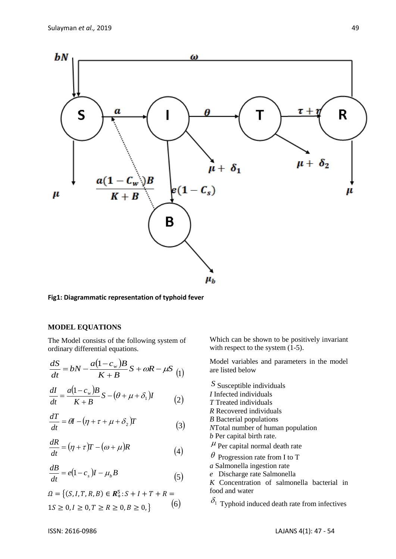

**Fig1: Diagrammatic representation of typhoid fever**

### **MODEL EQUATIONS**

The Model consists of the following system of ordinary differential equations.

$$
\frac{dS}{dt} = bN - \frac{a(1 - c_w)B}{K + B}S + \omega R - \mu S
$$
 (1)

$$
\frac{dI}{dt} = \frac{a(1 - c_w)B}{K + B}S - (\theta + \mu + \delta_1)I
$$
 (2)

$$
\frac{dT}{dt} = \theta I - (\eta + \tau + \mu + \delta_2)T
$$
\n(3)

$$
\frac{dR}{dt} = (\eta + \tau)T - (\omega + \mu)R\tag{4}
$$

$$
\frac{dB}{dt} = e(1 - c_s)I - \mu_b B \tag{5}
$$

$$
\Omega = \{ (S, I, T, R, B) \in \mathbb{R}^5 : S + I + T + R = 1S \ge 0, I \ge 0, T \ge R \ge 0, B \ge 0, \}
$$
\n
$$
(6)
$$

Which can be shown to be positively invariant with respect to the system  $(1-5)$ .

Model variables and parameters in the model are listed below

*S* Susceptible individuals *I* Infected individuals *T* Treated individuals *R* Recovered individuals *B* Bacterial populations *N*Total number of human population *b* Per capital birth rate.  $\mu$  Per capital normal death rate  $\theta$  Progression rate from I to T *a* Salmonella ingestion rate *e* Discharge rate Salmonella *K* Concentration of salmonella bacterial in food and water

 $\delta_1$  Typhoid induced death rate from infectives

*dB*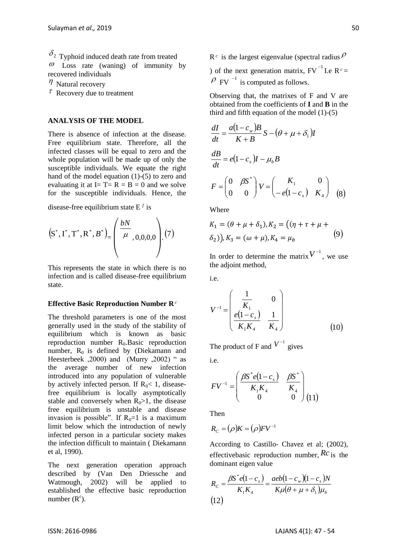$\delta_2$  Typhoid induced death rate from treated  $\omega$  Loss rate (waning) of immunity by recovered individuals

- $\eta$  Natural recovery
- $\tau$  Recovery due to treatment

#### **ANALYSIS OF THE MODEL**

There is absence of infection at the disease. Free equilibrium state. Therefore, all the infected classes will be equal to zero and the whole population will be made up of only the susceptible individuals. We equate the right hand of the model equation (1)-(5) to zero and evaluating it at  $I = T = R = B = 0$  and we solve for the susceptible individuals. Hence, the

disease-free equilibrium state E *f* is

$$
(S^*, I^*, T^*, R^*, B^*) = \left(\frac{bN}{\mu}, 0, 0, 0, 0\right) \cdot (7)
$$

This represents the state in which there is no infection and is called disease-free equilibrium state.

#### **Effective Basic Reproduction Number R** *c*

**S**<sup>2</sup>, correlation decreation ten from treated in the form inselect the mass capacitation of the second matrix, FV<sup>-1</sup> L<sub>A</sub> Consumer intervention of the matrix F(V<sup>-1</sup> La<sub>C</sub>) and the matrix of the matrix of the matrix of The threshold parameters is one of the most generally used in the study of the stability of equilibrium which is known as basic reproduction number  $R_0$ . Basic reproduction number,  $R_0$  is defined by (Diekamann and Heesterbeek , 2000) and (Murry , 2002) " as the average number of new infection introduced into any population of vulnerable by actively infected person. If  $R_0 < 1$ , diseasefree equilibrium is locally asymptotically stable and conversely when  $R_0$ >1, the disease free equilibrium is unstable and disease invasion is possible". If  $R_0=1$  is a maximum limit below which the introduction of newly infected person in a particular society makes the infection difficult to maintain ( Diekamann et al, 1990).

The next generation operation approach described by (Van Den Driessche and Watmough, 2002) will be applied to established the effective basic reproduction number  $(R<sup>c</sup>)$ .

 $R<sup>c</sup>$  is the largest eigenvalue (spectral radius  $\rho$ ) of the next generation matrix,  $FV^{-1}$  I.e  $R^c =$  $\rho$  FV  $^{-1}$  is computed as follows.

Observing that, the matrixes of F and V are obtained from the coefficients of **I** and **B** in the third and fifth equation of the model (1)-(5)

$$
\frac{dI}{dt} = \frac{a(1 - c_w)B}{K + B} S - (\theta + \mu + \delta_1)I
$$
  

$$
\frac{dB}{dt} = e(1 - c_s)I - \mu_b B
$$
  

$$
F = \begin{pmatrix} 0 & \beta S^* \\ 0 & 0 \end{pmatrix} V = \begin{pmatrix} K_1 & 0 \\ -e(1 - c_s) & K_4 \end{pmatrix}
$$
 (8)

**Where** 

$$
K_1 = (\theta + \mu + \delta_1), K_2 = ((\eta + \tau + \mu + \delta_2)), K_3 = (\omega + \mu), K_4 = \mu_b
$$
\n(9)

In order to determine the matrix  $V^{-1}$ , we use the adjoint method,

 $i.e.$ 

$$
V^{-1} = \begin{pmatrix} \frac{1}{K_1} & 0\\ \frac{e(1-c_s)}{K_1K_4} & \frac{1}{K_4} \end{pmatrix}
$$
 (10)

The product of F and  $V^{-1}$  gives

i.e.

$$
F V^{-1} = \begin{pmatrix} \frac{\beta S^* e (1 - c_s)}{K_1 K_4} & \frac{\beta S^*}{K_4} \\ 0 & 0 \end{pmatrix} (11)
$$

Then

$$
R_C = (\rho)K = (\rho)F V^{-1}
$$

According to Castillo- Chavez et al; (2002), effectivebasic reproduction number, *Rc* is the dominant eigen value

$$
R_C = \frac{\beta S^* e (1 - c_s)}{K_1 K_4} = \frac{aeb (1 - c_w)(1 - c_s)N}{K \mu (\theta + \mu + \delta_1) \mu_b}
$$
  
(12)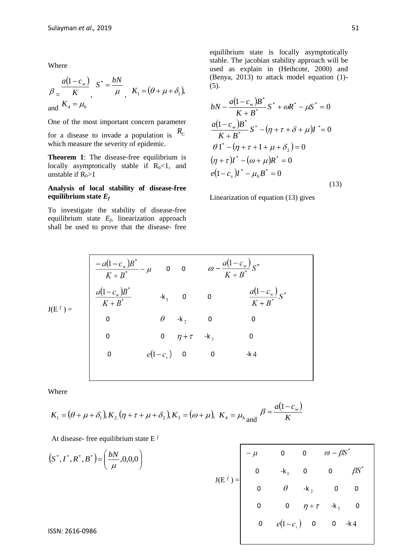Where

$$
\beta = \frac{a(1 - c_w)}{K}, \quad S^* = \frac{bN}{\mu}, \quad K_1 = (\theta + \mu + \delta_1),
$$
  
and 
$$
K_4 = \mu_b
$$

One of the most important concern parameter

for a disease to invade a population is  $R_C$ which measure the severity of epidemic.

**Theorem 1**: The disease-free equilibrium is locally asymptotically stable if  $R_0 < 1$ , and unstable if  $R_0>1$ 

#### **Analysis of local stability of disease-free equilibrium state** *E<sup>f</sup>*

To investigate the stability of disease-free equilibrium state *E<sup>f</sup>* , linearization approach shall be used to prove that the disease- free

equilibrium state is locally asymptotically stable. The jacobian stability approach will be used as explain in (Hethcote, 2000) and (Benya, 2013) to attack model equation (1)- (5).

$$
bN - \frac{a(1 - c_w)B^*}{K + B^*} S^* + \omega R^* - \mu S^* = 0
$$
  
\n
$$
\frac{a(1 - c_w)B^*}{K + B^*} S^* - (\eta + \tau + \delta + \mu)I^* = 0
$$
  
\n
$$
\theta I^* - (\eta + \tau + I + \mu + \delta_2) = 0
$$
  
\n
$$
(\eta + \tau)I^* - (\omega + \mu)R^* = 0
$$
  
\n
$$
e(1 - c_s)I^* - \mu_b B^* = 0
$$
\n(13)

Linearization of equation (13) gives

$$
J(E^{f}) = \begin{bmatrix} \frac{-a(1-c_w)B^*}{K+B^*} - \mu & 0 & 0 & \omega - \frac{a(1-c_w)}{K+B^*}S^* \\ \frac{a(1-c_w)B^*}{K+B^*} & -k_1 & 0 & 0 & \frac{a(1-c_w)}{K+B^*}S^* \\ 0 & \theta & -k_2 & 0 & 0 \\ 0 & 0 & \eta + \tau & -k_3 & 0 \\ 0 & \epsilon(1-c_s) & 0 & 0 & -k4 \end{bmatrix}
$$

Where

$$
K_1 = (\theta + \mu + \delta_1), K_2(\eta + \tau + \mu + \delta_2), K_3 = (\omega + \mu), K_4 = \mu_b, K_4 = \frac{a(1 - c_w)}{K}
$$

At disease- free equilibrium state E *f*

$$
(S^*, I^*, R^*, B^*) = \left(\frac{bN}{\mu}, 0, 0, 0\right)
$$
  

$$
J(E^f) = \begin{bmatrix} -\mu & 0 & 0 & \omega - \beta S^* \\ 0 & -k_1 & 0 & 0 & \beta S^* \\ 0 & \theta & -k_2 & 0 & 0 \\ 0 & 0 & \eta + \tau & -k_3 & 0 \end{bmatrix}
$$
  
ISSN: 2616-0986  
 $l$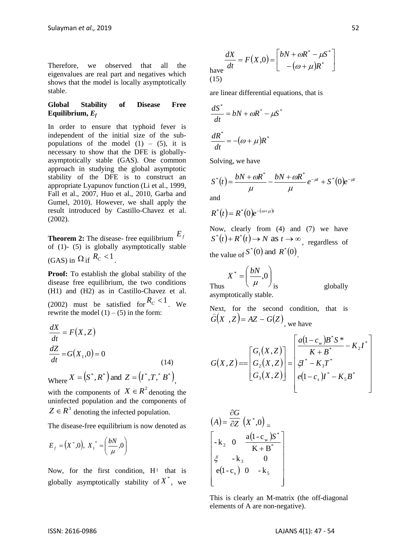Therefore, we observed that all the eigenvalues are real part and negatives which shows that the model is locally asymptotically stable.

#### **Global Stability of Disease Free Equilibrium,** *E<sup>f</sup>*

In order to ensure that typhoid fever is independent of the initial size of the subpopulations of the model  $(1)$  –  $(5)$ , it is necessary to show that the DFE is globallyasymptotically stable (GAS). One common approach in studying the global asymptotic stability of the DFE is to construct an appropriate Lyapunov function (Li et al., 1999, Fall et al., 2007, Huo et al., 2010, Garba and Gumel, 2010). However, we shall apply the result introduced by Castillo-Chavez et al. (2002).

**Theorem 2:** The disease- free equilibrium *Ef* of (1)- (5) is globally asymptotically stable (GAS) in  $\Omega$  if  $R_c < 1$ .

**Proof:** To establish the global stability of the disease free equilibrium, the two conditions (H1) and (H2) as in Castillo-Chavez et al. (2002) must be satisfied for  $R_C < 1$ . We rewrite the model  $(1) - (5)$  in the form:

$$
\frac{dX}{dt} = F(X, Z)
$$
  

$$
\frac{dZ}{dt} = G(X_1, 0) = 0
$$
 (14)

Where  $X = (S^*, R^*)$  and  $Z = (I^*, T,^* B^*)$ ,

with the components of  $X \in \mathbb{R}^2$  denoting the uninfected population and the components of  $Z \in R^3$  denoting the infected population.

The disease-free equilibrium is now denoted as

$$
E_f = (X^*, 0), X_1^* = \left(\frac{bN}{\mu}, 0\right)
$$

Now, for the first condition,  $H<sup>1</sup>$  that is globally asymptotically stability of  $X^*$ , we

$$
\frac{dX}{dt} = F(X,0) = \begin{bmatrix} bN + \omega R^* - \mu S^* \\ -(\omega + \mu)R^* \end{bmatrix}
$$
  
(15)

are linear differential equations, that is

$$
\frac{dS^*}{dt} = bN + \omega R^* - \mu S^*
$$

$$
\frac{dR^*}{dt} = -(\omega + \mu)R^*
$$

Solving, we have

$$
S^{*}(t) = \frac{bN + \omega R^{*}}{\mu} - \frac{bN + \omega R^{*}}{\mu} e^{-\mu t} + S^{*}(0)e^{-\mu t}
$$
  
and

$$
R^*(t) = R^*(0)e^{-(\omega+\mu)t}
$$

Now, clearly from (4) and (7) we have  $S^*(t) + R^*(t) \to N$  as  $t \to \infty$ , regardless of the value of  $S^*(0)$  and  $R^*(0)$ .

Thus 
$$
X^* = \left(\frac{bN}{\mu}, 0\right)_{\text{is}}
$$
 asymptotically stable.

globally

Next, for the second condition, that is  $G(X, Z) = AZ - G(Z)$  $\frac{1}{2}$ , we have

$$
G(X,Z) = \begin{bmatrix} G_1(X,Z) \\ G_2(X,Z) \\ G_3(X,Z) \end{bmatrix} = \begin{bmatrix} a(1-c_w)B^*S^* \\ K+B^* \\ \xi I^* - K_3T^* \\ e(1-c_s)I^* - K_5B^* \end{bmatrix}
$$

$$
(A) = \frac{\partial G}{\partial Z} (X^*, 0) =
$$
  
\n
$$
\begin{bmatrix}\n-k_2 & 0 & \frac{a(1 - c_w)S^*}{K + B^*} \\
\xi & -k_3 & 0 \\
e(1 - c_s) & 0 & -k_5\n\end{bmatrix}
$$

This is clearly an M-matrix (the off-diagonal elements of A are non-negative).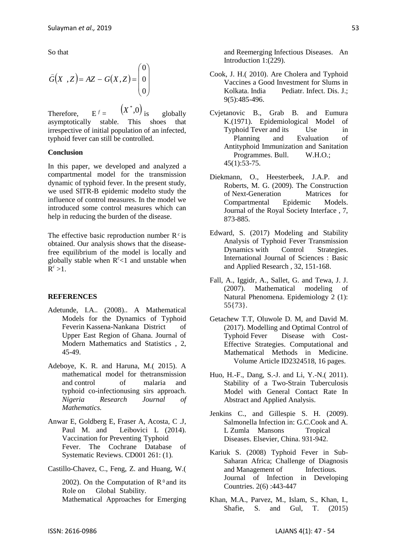So that

$$
\widehat{G}(X, Z) = AZ - G(X, Z) = \begin{pmatrix} 0 \\ 0 \\ 0 \end{pmatrix}
$$

Therefore.  $f =$  $(X^*,0)$ globally asymptotically stable. This shoes that irrespective of initial population of an infected, typhoid fever can still be controlled.

#### **Conclusion**

In this paper, we developed and analyzed a compartmental model for the transmission dynamic of typhoid fever. In the present study, we used SITR-B epidemic modelto study the influence of control measures. In the model we introduced some control measures which can help in reducing the burden of the disease.

The effective basic reproduction number  $R^c$  is obtained. Our analysis shows that the diseasefree equilibrium of the model is locally and globally stable when  $R^c$ <1 and unstable when  $\mathbf{R}^c > 1$ .

#### **REFERENCES**

- Adetunde, I.A.. (2008).. A Mathematical Models for the Dynamics of Typhoid Feverin Kassena-Nankana District of Upper East Region of Ghana. Journal of Modern Mathematics and Statistics , 2, 45-49.
- Adeboye, K. R. and Haruna, M.( 2015). A mathematical model for thetransmission and control of malaria and typhoid co-infectionusing sirs approach. *Nigeria Research Journal of Mathematics.*
- Anwar E, Goldberg E, Fraser A, Acosta, C .J, Paul M. and Leibovici L (2014). Vaccination for Preventing Typhoid Fever. The Cochrane Database of Systematic Reviews. CD001 261: (1).
- Castillo-Chavez, C., Feng, Z. and Huang, W.(

2002). On the Computation of  $R^0$  and its Role on Global Stability. Mathematical Approaches for Emerging

and Reemerging Infectious Diseases. An Introduction 1:(229).

- Cook, J. H.( 2010). Are Cholera and Typhoid Vaccines a Good Investment for Slums in Kolkata. India Pediatr. Infect. Dis. J.; 9(5):485-496.
- Cvjetanovic B., Grab B. and Eumura K.(1971). Epidemiological Model of Typhoid Tever and its Use in Planning and Evaluation of Antityphoid Immunization and Sanitation Programmes. Bull. W.H.O.; 45(1):53-75.
- Diekmann, O., Heesterbeek, J.A.P. and Roberts, M. G. (2009). The Construction of Next-Generation Matrices for Compartmental Epidemic Models. Journal of the Royal Society Interface , 7, 873-885.
- Edward, S. (2017) Modeling and Stability Analysis of Typhoid Fever Transmission Dynamics with Control Strategies. International Journal of Sciences : Basic and Applied Research , 32, 151-168.
- Fall, A., Iggidr, A., Sallet, G. and Tewa, J. J. (2007). Mathematical modeling of Natural Phenomena. Epidemiology 2 (1): 55{73}.
- Getachew T.T, Oluwole D. M, and David M. (2017). Modelling and Optimal Control of Typhoid Fever Disease with Cost-Effective Strategies. Computational and Mathematical Methods in Medicine. Volume Article ID2324518, 16 pages.
- Huo, H.-F., Dang, S.-J. and Li, Y.-N.( 2011). Stability of a Two-Strain Tuberculosis Model with General Contact Rate In Abstract and Applied Analysis.
- Jenkins C., and Gillespie S. H. (2009). Salmonella Infection in: G.C.Cook and A. L Zumla Mansons Tropical Diseases. Elsevier, China. 931-942.
- Kariuk S. (2008) Typhoid Fever in Sub-Saharan Africa; Challenge of Diagnosis and Management of Infectious. Journal of Infection in Developing Countries. 2(6) :443-447
- Khan, M.A., Parvez, M., Islam, S., Khan, I., Shafie, S. and Gul, T. (2015)